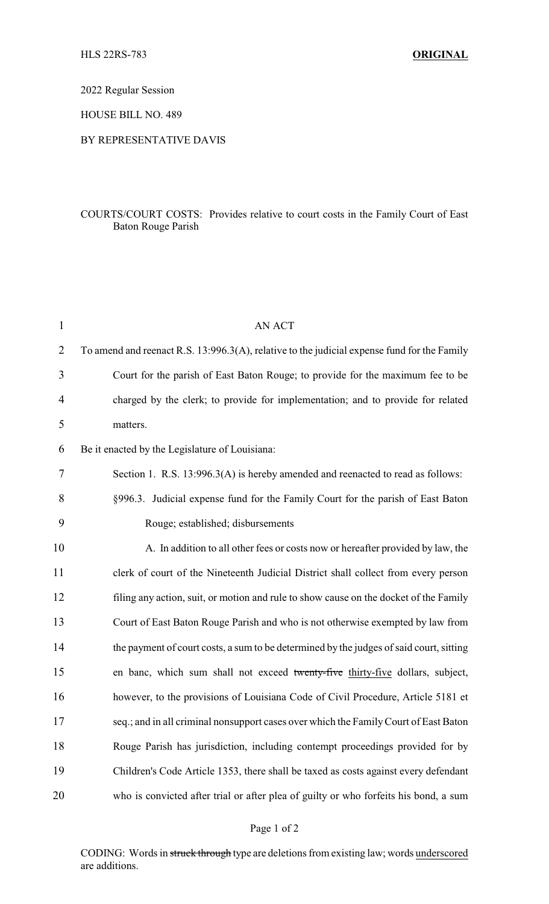2022 Regular Session

HOUSE BILL NO. 489

## BY REPRESENTATIVE DAVIS

## COURTS/COURT COSTS: Provides relative to court costs in the Family Court of East Baton Rouge Parish

| $\mathbf{1}$   | <b>AN ACT</b>                                                                               |
|----------------|---------------------------------------------------------------------------------------------|
| $\overline{2}$ | To amend and reenact R.S. 13:996.3(A), relative to the judicial expense fund for the Family |
| 3              | Court for the parish of East Baton Rouge; to provide for the maximum fee to be              |
| 4              | charged by the clerk; to provide for implementation; and to provide for related             |
| 5              | matters.                                                                                    |
| 6              | Be it enacted by the Legislature of Louisiana:                                              |
| 7              | Section 1. R.S. 13:996.3(A) is hereby amended and reenacted to read as follows:             |
| 8              | §996.3. Judicial expense fund for the Family Court for the parish of East Baton             |
| 9              | Rouge; established; disbursements                                                           |
| 10             | A. In addition to all other fees or costs now or hereafter provided by law, the             |
| 11             | clerk of court of the Nineteenth Judicial District shall collect from every person          |
| 12             | filing any action, suit, or motion and rule to show cause on the docket of the Family       |
| 13             | Court of East Baton Rouge Parish and who is not otherwise exempted by law from              |
| 14             | the payment of court costs, a sum to be determined by the judges of said court, sitting     |
| 15             | en banc, which sum shall not exceed twenty-five thirty-five dollars, subject,               |
| 16             | however, to the provisions of Louisiana Code of Civil Procedure, Article 5181 et            |
| 17             | seq.; and in all criminal nonsupport cases over which the Family Court of East Baton        |
| 18             | Rouge Parish has jurisdiction, including contempt proceedings provided for by               |
| 19             | Children's Code Article 1353, there shall be taxed as costs against every defendant         |
| 20             | who is convicted after trial or after plea of guilty or who forfeits his bond, a sum        |

CODING: Words in struck through type are deletions from existing law; words underscored are additions.